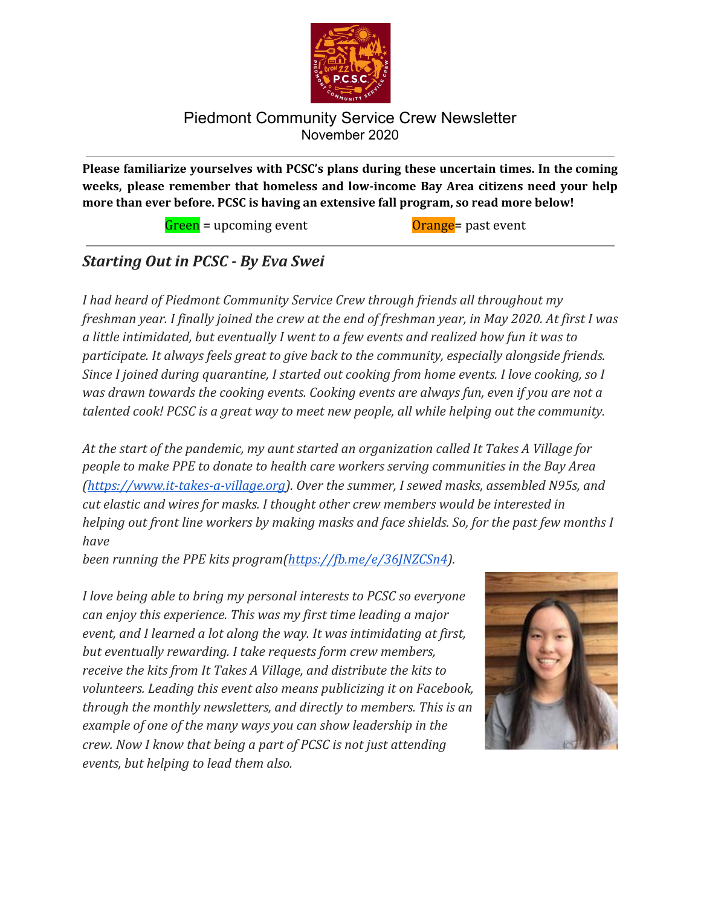

**Please familiarize yourselves with PCSC's plans during these uncertain times. In the coming weeks, please remember that homeless and low-income Bay Area citizens need your help more than ever before. PCSC is having an extensive fall program, so read more below!**

 $Green = upcoming event$  Orange past event

# *Starting Out in PCSC - By Eva Swei*

*I had heard of Piedmont Community Service Crew through friends all throughout my freshman year. I finally joined the crew at the end of freshman year, in May 2020. At first I was a little intimidated, but eventually I went to a few events and realized how fun it was to participate. It always feels great to give back to the community, especially alongside friends. Since I joined during quarantine, I started out cooking from home events. I love cooking, so I was drawn towards the cooking events. Cooking events are always fun, even if you are not a talented cook! PCSC is a great way to meet new people, all while helping out the community.*

*At the start of the pandemic, my aunt started an organization called It Takes A Village for people to make PPE to donate to health care workers serving communities in the Bay Area [\(https://www.it-takes-a-village.org\)](https://www.it-takes-a-village.org/). Over the summer, I sewed masks, assembled N95s, and cut elastic and wires for masks. I thought other crew members would be interested in helping out front line workers by making masks and face shields. So, for the past few months I have*

*been running the PPE kits program(<https://fb.me/e/36JNZCSn4>).*

*I love being able to bring my personal interests to PCSC so everyone can enjoy this experience. This was my first time leading a major event, and I learned a lot along the way. It was intimidating at first, but eventually rewarding. I take requests form crew members, receive the kits from It Takes A Village, and distribute the kits to volunteers. Leading this event also means publicizing it on Facebook, through the monthly newsletters, and directly to members. This is an example of one of the many ways you can show leadership in the crew. Now I know that being a part of PCSC is not just attending events, but helping to lead them also.*

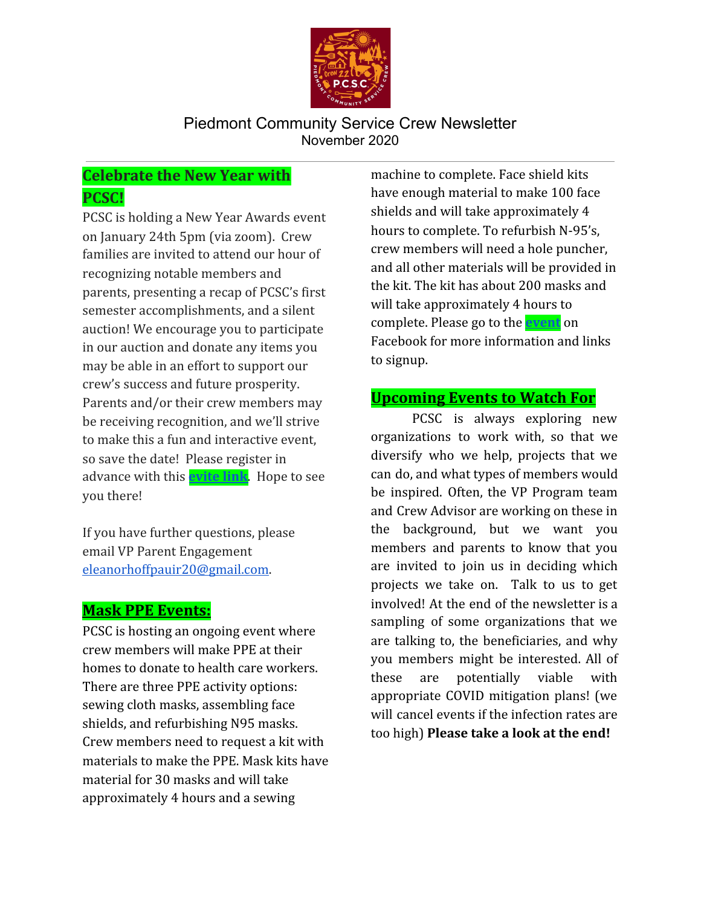

# **Celebrate the New Year with PCSC!**

PCSC is holding a New Year Awards event on January 24th 5pm (via zoom). Crew families are invited to attend our hour of recognizing notable members and parents, presenting a recap of PCSC's first semester accomplishments, and a silent auction! We encourage you to participate in our auction and donate any items you may be able in an effort to support our crew's success and future prosperity. Parents and/or their crew members may be receiving recognition, and we'll strive to make this a fun and interactive event, so save the date! Please register in advance with this **[evite link](http://evite.me/f8mTzGuYvw)**. Hope to see you there!

If you have further questions, please email VP Parent Engagement [eleanorhoffpauir20@gmail.com.](mailto:eleanorhoffpauir20@gmail.com)

## **Mask PPE Events:**

PCSC is hosting an ongoing event where crew members will make PPE at their homes to donate to health care workers. There are three PPE activity options: sewing cloth masks, assembling face shields, and refurbishing N95 masks. Crew members need to request a kit with materials to make the PPE. Mask kits have material for 30 masks and will take approximately 4 hours and a sewing

machine to complete. Face shield kits have enough material to make 100 face shields and will take approximately 4 hours to complete. To refurbish N-95's, crew members will need a hole puncher, and all other materials will be provided in the kit. The kit has about 200 masks and will take approximately 4 hours to complete. Please go to the **[event](https://www.facebook.com/events/1119459581816225)** on Facebook for more information and links to signup.

## **Upcoming Events to Watch For**

PCSC is always exploring new organizations to work with, so that we diversify who we help, projects that we can do, and what types of members would be inspired. Often, the VP Program team and Crew Advisor are working on these in the background, but we want you members and parents to know that you are invited to join us in deciding which projects we take on. Talk to us to get involved! At the end of the newsletter is a sampling of some organizations that we are talking to, the beneficiaries, and why you members might be interested. All of these are potentially viable with appropriate COVID mitigation plans! (we will cancel events if the infection rates are too high) **Please take a look at the end!**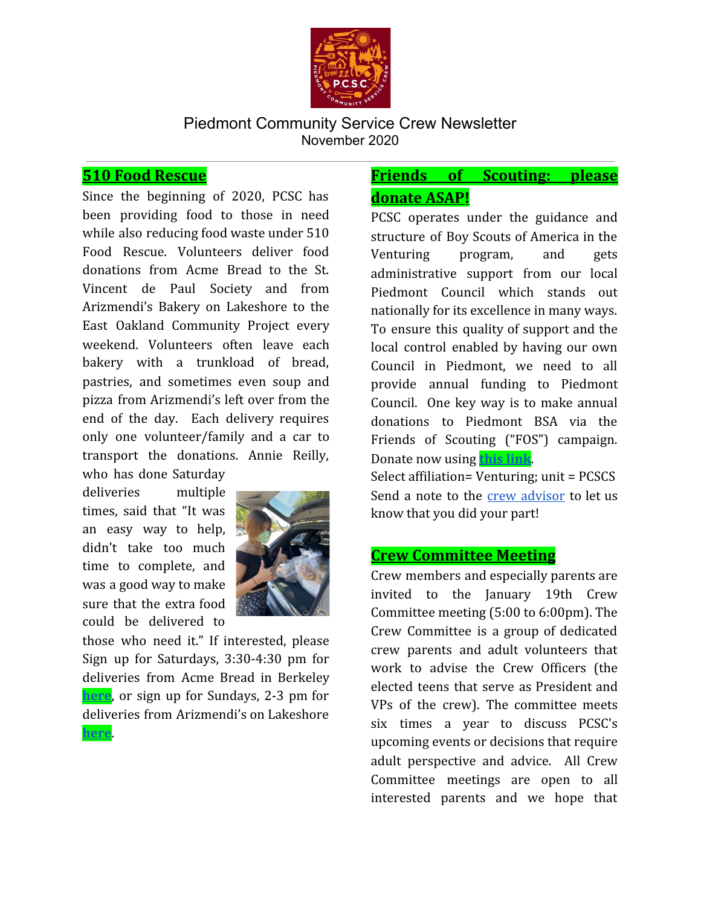

## **510 Food Rescue**

Since the beginning of 2020, PCSC has been providing food to those in need while also reducing food waste under 510 Food Rescue. Volunteers deliver food donations from Acme Bread to the St. Vincent de Paul Society and from Arizmendi's Bakery on Lakeshore to the East Oakland Community Project every weekend. Volunteers often leave each bakery with a trunkload of bread, pastries, and sometimes even soup and pizza from Arizmendi's left over from the end of the day. Each delivery requires only one volunteer/family and a car to transport the donations. Annie Reilly, who has done Saturday

deliveries multiple times, said that "It was an easy way to help, didn't take too much time to complete, and was a good way to make sure that the extra food could be delivered to

**[here](https://www.signupgenius.com/go/9040449ada828a0fb6-east?fbclid=IwAR0klQSYuc0C58MOGH3_fziLQ0dEy5X8LHrYZ22whAM6zleSNfV8b6ptylw)**.



those who need it." If interested, please Sign up for Saturdays, 3:30-4:30 pm for deliveries from Acme Bread in Berkeley **[here](https://www.signupgenius.com/go/9040449ada828a0fb6-stvincent?fbclid=IwAR364GyqybSeDvXVaezp7Y1Un3_4-AKHtkPjZMKpNOOsBPA1JqUA8CZjluc))**, or sign up for Sundays, 2-3 pm for deliveries from Arizmendi's on Lakeshore

## **Friends of Scouting: please donate ASAP!**

PCSC operates under the guidance and structure of Boy Scouts of America in the Venturing program, and gets administrative support from our local Piedmont Council which stands out nationally for its excellence in many ways. To ensure this quality of support and the local control enabled by having our own Council in Piedmont, we need to all provide annual funding to Piedmont Council. One key way is to make annual donations to Piedmont BSA via the Friends of Scouting ("FOS") campaign. Donate now using **[this link](https://www.piedmontbsa.org/give/donate-now/)**. Select affiliation= Venturing; unit = PCSCS Send a note to the crew [advisor](mailto: ken.i.li@sbcglobal.net) to let us know that you did your part!

## **Crew Committee Meeting**

Crew members and especially parents are invited to the January 19th Crew Committee meeting (5:00 to 6:00pm). The Crew Committee is a group of dedicated crew parents and adult volunteers that work to advise the Crew Officers (the elected teens that serve as President and VPs of the crew). The committee meets six times a year to discuss PCSC's upcoming events or decisions that require adult perspective and advice. All Crew Committee meetings are open to all interested parents and we hope that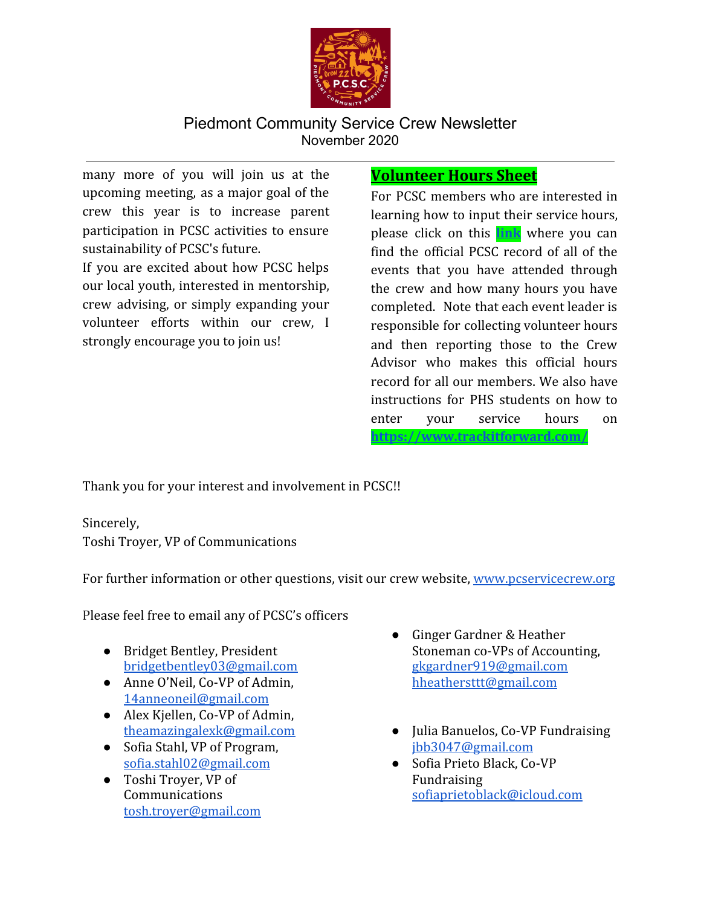

many more of you will join us at the upcoming meeting, as a major goal of the crew this year is to increase parent participation in PCSC activities to ensure sustainability of PCSC's future.

If you are excited about how PCSC helps our local youth, interested in mentorship, crew advising, or simply expanding your volunteer efforts within our crew, I strongly encourage you to join us!

## **Volunteer Hours Sheet**

For PCSC members who are interested in learning how to input their service hours, please click on this **[link](http://pcservicecrew.org/track-your-hours)** where you can find the official PCSC record of all of the events that you have attended through the crew and how many hours you have completed. Note that each event leader is responsible for collecting volunteer hours and then reporting those to the Crew Advisor who makes this official hours record for all our members. We also have instructions for PHS students on how to enter your service hours on **<https://www.trackitforward.com/>**

Thank you for your interest and involvement in PCSC!!

Sincerely, Toshi Troyer, VP of Communications

For further information or other questions, visit our crew website, [www.pcservicecrew.org](http://www.pcservicecrew.org/)

Please feel free to email any of PCSC's officers

- Bridget Bentley, President [bridgetbentley03@gmail.com](mailto:bridgetbentley03@gmail.com)
- Anne O'Neil, Co-VP of Admin, [14anneoneil@gmail.com](mailto:14anneoneil@gmail.com)
- Alex Kjellen, Co-VP of Admin, [theamazingalexk@gmail.com](mailto:theamazingalexk@gmail.com)
- Sofia Stahl, VP of Program, [sofia.stahl02@gmail.com](mailto:sofiastahl02@gmail.com)
- Toshi Troyer, VP of Communications [tosh.troyer@gmail.com](mailto:toshi.troyer@gmail.com)
- Ginger Gardner & Heather Stoneman co-VPs of Accounting, [gkgardner919@gmail.com](mailto:gkgardner919@gmail.com) [hheathersttt@gmail.com](mailto:hheathersttt@gmail.com)
- Julia Banuelos, Co-VP Fundraising [jbb3047@gmail.com](mailto:jbb3047@gmail.com)
- Sofia Prieto Black, Co-VP Fundraising [sofiaprietoblack@icloud.com](mailto:sofiaprietoblack@icloud.com)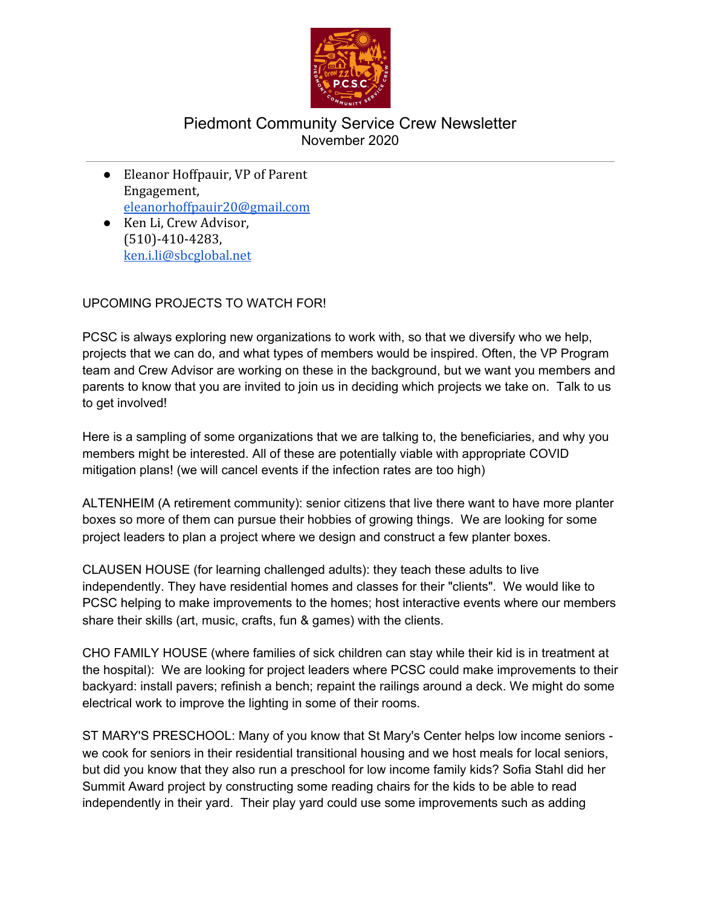

- Eleanor Hoffpauir, VP of Parent Engagement, [eleanorhoffpauir20@gmail.com](mailto:eleanorhoffpauir20@gmail.com)
- Ken Li, Crew Advisor, (510)-410-4283, [ken.i.li@sbcglobal.net](mailto:ken.i.li@sbcglobal.net)

#### UPCOMING PROJECTS TO WATCH FOR!

PCSC is always exploring new organizations to work with, so that we diversify who we help, projects that we can do, and what types of members would be inspired. Often, the VP Program team and Crew Advisor are working on these in the background, but we want you members and parents to know that you are invited to join us in deciding which projects we take on. Talk to us to get involved!

Here is a sampling of some organizations that we are talking to, the beneficiaries, and why you members might be interested. All of these are potentially viable with appropriate COVID mitigation plans! (we will cancel events if the infection rates are too high)

ALTENHEIM (A retirement community): senior citizens that live there want to have more planter boxes so more of them can pursue their hobbies of growing things. We are looking for some project leaders to plan a project where we design and construct a few planter boxes.

CLAUSEN HOUSE (for learning challenged adults): they teach these adults to live independently. They have residential homes and classes for their "clients". We would like to PCSC helping to make improvements to the homes; host interactive events where our members share their skills (art, music, crafts, fun & games) with the clients.

CHO FAMILY HOUSE (where families of sick children can stay while their kid is in treatment at the hospital): We are looking for project leaders where PCSC could make improvements to their backyard: install pavers; refinish a bench; repaint the railings around a deck. We might do some electrical work to improve the lighting in some of their rooms.

ST MARY'S PRESCHOOL: Many of you know that St Mary's Center helps low income seniors we cook for seniors in their residential transitional housing and we host meals for local seniors, but did you know that they also run a preschool for low income family kids? Sofia Stahl did her Summit Award project by constructing some reading chairs for the kids to be able to read independently in their yard. Their play yard could use some improvements such as adding